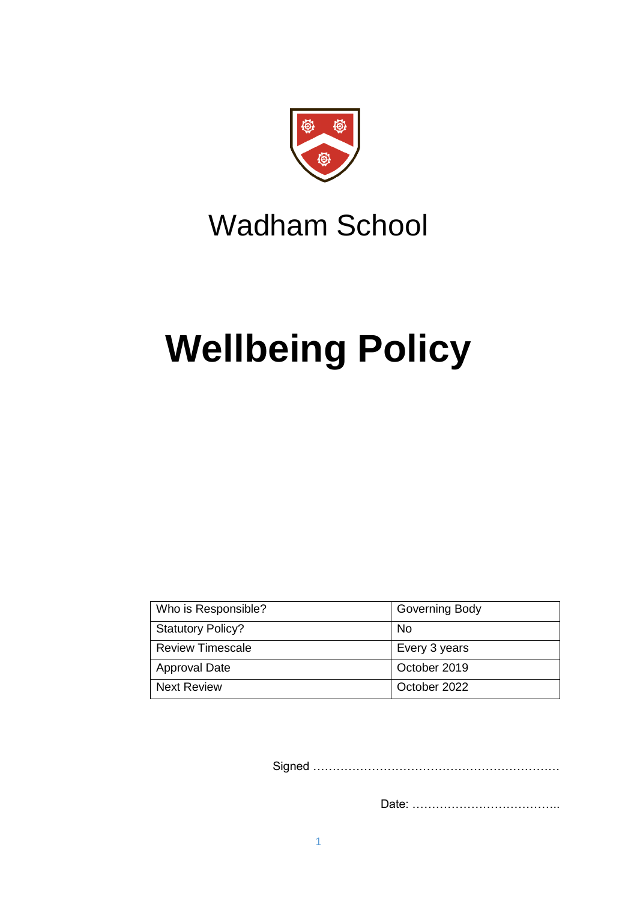

## Wadham School

# **Wellbeing Policy**

| Who is Responsible?      | <b>Governing Body</b> |
|--------------------------|-----------------------|
| <b>Statutory Policy?</b> | No.                   |
| <b>Review Timescale</b>  | Every 3 years         |
| <b>Approval Date</b>     | October 2019          |
| <b>Next Review</b>       | October 2022          |

Signed ………………………………………………………

Date: ………………………………..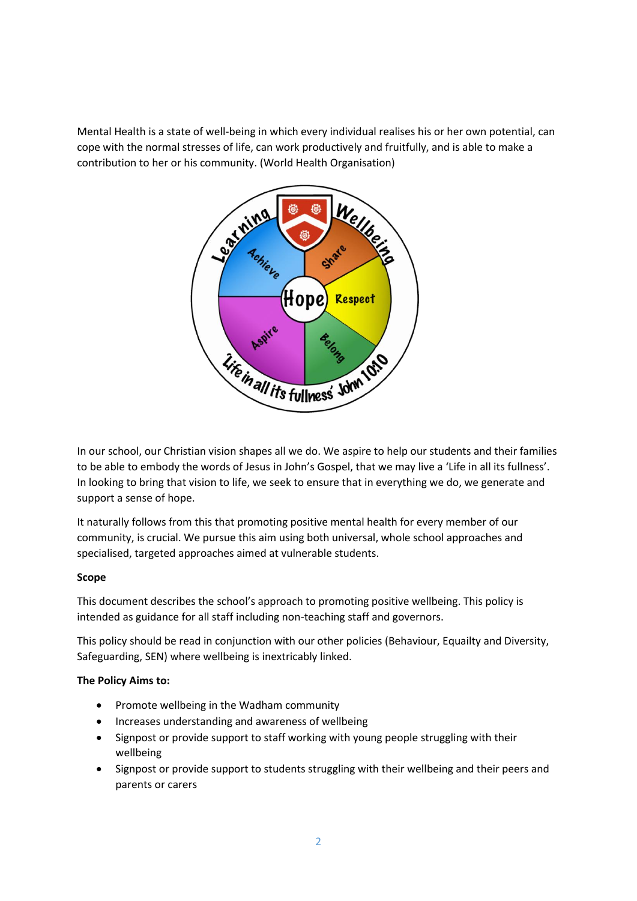Mental Health is a state of well-being in which every individual realises his or her own potential, can cope with the normal stresses of life, can work productively and fruitfully, and is able to make a contribution to her or his community. (World Health Organisation)



In our school, our Christian vision shapes all we do. We aspire to help our students and their families to be able to embody the words of Jesus in John's Gospel, that we may live a 'Life in all its fullness'. In looking to bring that vision to life, we seek to ensure that in everything we do, we generate and support a sense of hope.

It naturally follows from this that promoting positive mental health for every member of our community, is crucial. We pursue this aim using both universal, whole school approaches and specialised, targeted approaches aimed at vulnerable students.

#### **Scope**

This document describes the school's approach to promoting positive wellbeing. This policy is intended as guidance for all staff including non-teaching staff and governors.

This policy should be read in conjunction with our other policies (Behaviour, Equailty and Diversity, Safeguarding, SEN) where wellbeing is inextricably linked.

#### **The Policy Aims to:**

- Promote wellbeing in the Wadham community
- Increases understanding and awareness of wellbeing
- Signpost or provide support to staff working with young people struggling with their wellbeing
- Signpost or provide support to students struggling with their wellbeing and their peers and parents or carers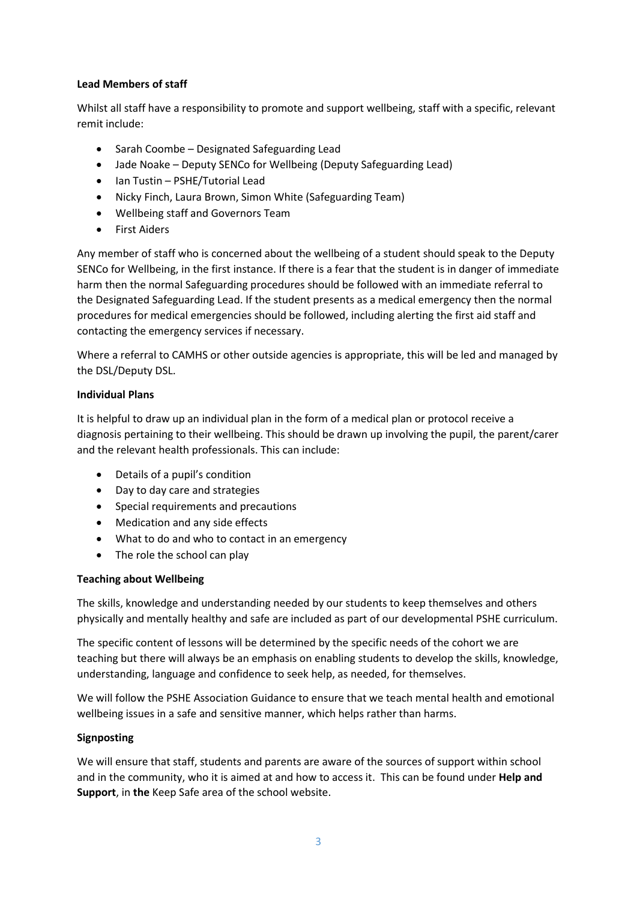#### **Lead Members of staff**

Whilst all staff have a responsibility to promote and support wellbeing, staff with a specific, relevant remit include:

- Sarah Coombe Designated Safeguarding Lead
- Jade Noake Deputy SENCo for Wellbeing (Deputy Safeguarding Lead)
- Ian Tustin PSHE/Tutorial Lead
- Nicky Finch, Laura Brown, Simon White (Safeguarding Team)
- Wellbeing staff and Governors Team
- First Aiders

Any member of staff who is concerned about the wellbeing of a student should speak to the Deputy SENCo for Wellbeing, in the first instance. If there is a fear that the student is in danger of immediate harm then the normal Safeguarding procedures should be followed with an immediate referral to the Designated Safeguarding Lead. If the student presents as a medical emergency then the normal procedures for medical emergencies should be followed, including alerting the first aid staff and contacting the emergency services if necessary.

Where a referral to CAMHS or other outside agencies is appropriate, this will be led and managed by the DSL/Deputy DSL.

#### **Individual Plans**

It is helpful to draw up an individual plan in the form of a medical plan or protocol receive a diagnosis pertaining to their wellbeing. This should be drawn up involving the pupil, the parent/carer and the relevant health professionals. This can include:

- Details of a pupil's condition
- Day to day care and strategies
- Special requirements and precautions
- Medication and any side effects
- What to do and who to contact in an emergency
- The role the school can play

#### **Teaching about Wellbeing**

The skills, knowledge and understanding needed by our students to keep themselves and others physically and mentally healthy and safe are included as part of our developmental PSHE curriculum.

The specific content of lessons will be determined by the specific needs of the cohort we are teaching but there will always be an emphasis on enabling students to develop the skills, knowledge, understanding, language and confidence to seek help, as needed, for themselves.

We will follow the PSHE Association Guidance to ensure that we teach mental health and emotional wellbeing issues in a safe and sensitive manner, which helps rather than harms.

#### **Signposting**

We will ensure that staff, students and parents are aware of the sources of support within school and in the community, who it is aimed at and how to access it. This can be found under **Help and Support**, in **the** Keep Safe area of the school website.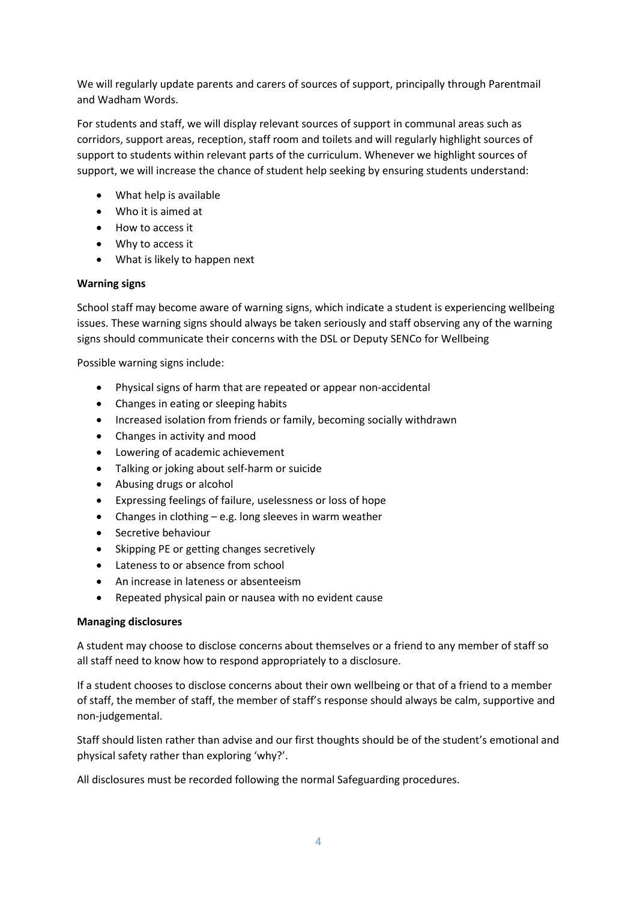We will regularly update parents and carers of sources of support, principally through Parentmail and Wadham Words.

For students and staff, we will display relevant sources of support in communal areas such as corridors, support areas, reception, staff room and toilets and will regularly highlight sources of support to students within relevant parts of the curriculum. Whenever we highlight sources of support, we will increase the chance of student help seeking by ensuring students understand:

- What help is available
- Who it is aimed at
- How to access it
- Why to access it
- What is likely to happen next

#### **Warning signs**

School staff may become aware of warning signs, which indicate a student is experiencing wellbeing issues. These warning signs should always be taken seriously and staff observing any of the warning signs should communicate their concerns with the DSL or Deputy SENCo for Wellbeing

Possible warning signs include:

- Physical signs of harm that are repeated or appear non-accidental
- Changes in eating or sleeping habits
- Increased isolation from friends or family, becoming socially withdrawn
- Changes in activity and mood
- Lowering of academic achievement
- Talking or joking about self-harm or suicide
- Abusing drugs or alcohol
- Expressing feelings of failure, uselessness or loss of hope
- Changes in clothing e.g. long sleeves in warm weather
- Secretive behaviour
- Skipping PE or getting changes secretively
- Lateness to or absence from school
- An increase in lateness or absenteeism
- Repeated physical pain or nausea with no evident cause

#### **Managing disclosures**

A student may choose to disclose concerns about themselves or a friend to any member of staff so all staff need to know how to respond appropriately to a disclosure.

If a student chooses to disclose concerns about their own wellbeing or that of a friend to a member of staff, the member of staff, the member of staff's response should always be calm, supportive and non-judgemental.

Staff should listen rather than advise and our first thoughts should be of the student's emotional and physical safety rather than exploring 'why?'.

All disclosures must be recorded following the normal Safeguarding procedures.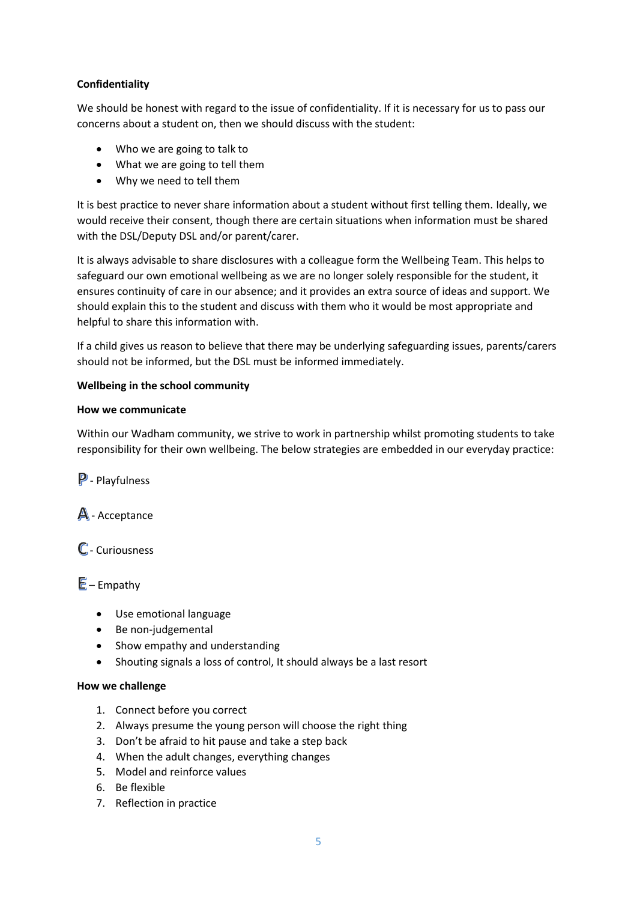#### **Confidentiality**

We should be honest with regard to the issue of confidentiality. If it is necessary for us to pass our concerns about a student on, then we should discuss with the student:

- Who we are going to talk to
- What we are going to tell them
- Why we need to tell them

It is best practice to never share information about a student without first telling them. Ideally, we would receive their consent, though there are certain situations when information must be shared with the DSL/Deputy DSL and/or parent/carer.

It is always advisable to share disclosures with a colleague form the Wellbeing Team. This helps to safeguard our own emotional wellbeing as we are no longer solely responsible for the student, it ensures continuity of care in our absence; and it provides an extra source of ideas and support. We should explain this to the student and discuss with them who it would be most appropriate and helpful to share this information with.

If a child gives us reason to believe that there may be underlying safeguarding issues, parents/carers should not be informed, but the DSL must be informed immediately.

#### **Wellbeing in the school community**

#### **How we communicate**

Within our Wadham community, we strive to work in partnership whilst promoting students to take responsibility for their own wellbeing. The below strategies are embedded in our everyday practice:

 $\mathbf{P}$  - Playfulness

 $\mathbb{A}$  - Acceptance

- Curiousness

 $E$  – Empathy

- Use emotional language
- Be non-judgemental
- Show empathy and understanding
- Shouting signals a loss of control, It should always be a last resort

#### **How we challenge**

- 1. Connect before you correct
- 2. Always presume the young person will choose the right thing
- 3. Don't be afraid to hit pause and take a step back
- 4. When the adult changes, everything changes
- 5. Model and reinforce values
- 6. Be flexible
- 7. Reflection in practice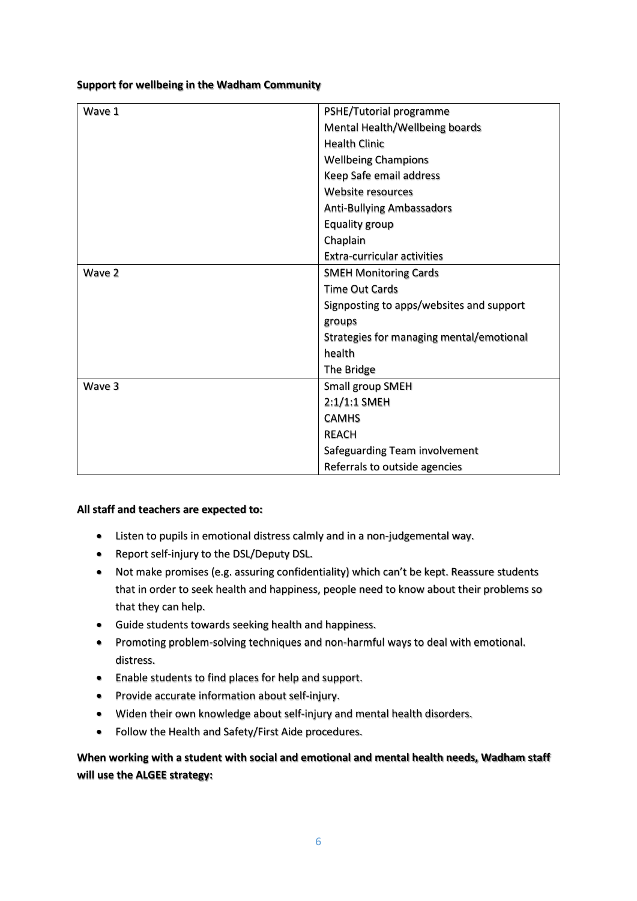#### **Support for wellbeing in the Wadham Community**

| Wave 1 | PSHE/Tutorial programme                  |
|--------|------------------------------------------|
|        |                                          |
|        | Mental Health/Wellbeing boards           |
|        | <b>Health Clinic</b>                     |
|        | <b>Wellbeing Champions</b>               |
|        | Keep Safe email address                  |
|        | Website resources                        |
|        | <b>Anti-Bullying Ambassadors</b>         |
|        | Equality group                           |
|        | Chaplain                                 |
|        | <b>Extra-curricular activities</b>       |
| Wave 2 | <b>SMEH Monitoring Cards</b>             |
|        | <b>Time Out Cards</b>                    |
|        | Signposting to apps/websites and support |
|        | groups                                   |
|        | Strategies for managing mental/emotional |
|        | health                                   |
|        | The Bridge                               |
| Wave 3 | Small group SMEH                         |
|        | 2:1/1:1 SMEH                             |
|        | <b>CAMHS</b>                             |
|        | <b>REACH</b>                             |
|        | Safeguarding Team involvement            |
|        | Referrals to outside agencies            |

#### **All staff and teachers are expected to:**

- Listen to pupils in emotional distress calmly and in a non-judgemental way.
- Report self-injury to the DSL/Deputy DSL.
- Not make promises (e.g. assuring confidentiality) which can't be kept. Reassure students that in order to seek health and happiness, people need to know about their problems so that they can help.
- Guide students towards seeking health and happiness.
- Promoting problem-solving techniques and non-harmful ways to deal with emotional. distress.
- Enable students to find places for help and support.
- Provide accurate information about self-injury.
- Widen their own knowledge about self-injury and mental health disorders.
- Follow the Health and Safety/First Aide procedures.

#### **When working with a student with social and emotional and mental health needs, Wadham staff will use the ALGEE strategy:**